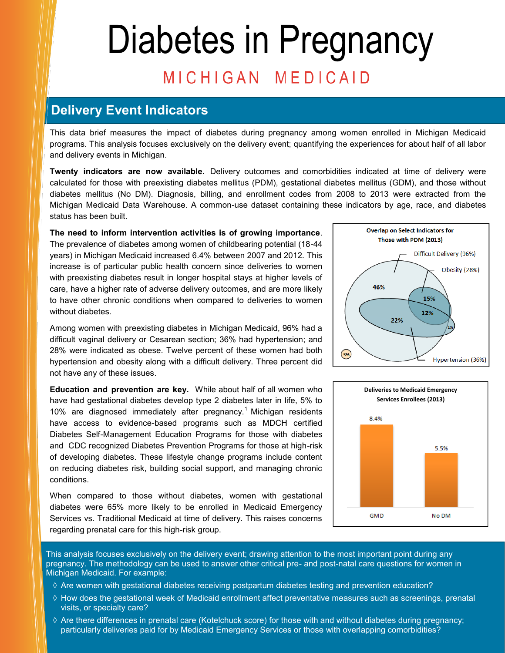# Diabetes in Pregnancy MICHIGAN MEDICAID

### **Delivery Event Indicators**

This data brief measures the impact of diabetes during pregnancy among women enrolled in Michigan Medicaid programs. This analysis focuses exclusively on the delivery event; quantifying the experiences for about half of all labor and delivery events in Michigan.

**Twenty indicators are now available.** Delivery outcomes and comorbidities indicated at time of delivery were calculated for those with preexisting diabetes mellitus (PDM), gestational diabetes mellitus (GDM), and those without diabetes mellitus (No DM). Diagnosis, billing, and enrollment codes from 2008 to 2013 were extracted from the Michigan Medicaid Data Warehouse. A common-use dataset containing these indicators by age, race, and diabetes status has been built.

**The need to inform intervention activities is of growing importance**. The prevalence of diabetes among women of childbearing potential (18-44 years) in Michigan Medicaid increased 6.4% between 2007 and 2012. This increase is of particular public health concern since deliveries to women with preexisting diabetes result in longer hospital stays at higher levels of care, have a higher rate of adverse delivery outcomes, and are more likely to have other chronic conditions when compared to deliveries to women without diabetes.

Among women with preexisting diabetes in Michigan Medicaid, 96% had a difficult vaginal delivery or Cesarean section; 36% had hypertension; and 28% were indicated as obese. Twelve percent of these women had both hypertension and obesity along with a difficult delivery. Three percent did not have any of these issues.

**Education and prevention are key.** While about half of all women who have had gestational diabetes develop type 2 diabetes later in life, 5% to 10% are diagnosed immediately after pregnancy.<sup>1</sup> Michigan residents have access to evidence-based programs such as MDCH certified Diabetes Self-Management Education Programs for those with diabetes and CDC recognized Diabetes Prevention Programs for those at high-risk of developing diabetes. These lifestyle change programs include content on reducing diabetes risk, building social support, and managing chronic conditions.

When compared to those without diabetes, women with gestational diabetes were 65% more likely to be enrolled in Medicaid Emergency Services vs. Traditional Medicaid at time of delivery. This raises concerns regarding prenatal care for this high-risk group.





This analysis focuses exclusively on the delivery event; drawing attention to the most important point during any pregnancy. The methodology can be used to answer other critical pre- and post-natal care questions for women in Michigan Medicaid. For example:

- $\Diamond$  Are women with gestational diabetes receiving postpartum diabetes testing and prevention education?
- $\Diamond$  How does the gestational week of Medicaid enrollment affect preventative measures such as screenings, prenatal visits, or specialty care?
- $\Diamond$  Are there differences in prenatal care (Kotelchuck score) for those with and without diabetes during pregnancy; particularly deliveries paid for by Medicaid Emergency Services or those with overlapping comorbidities?